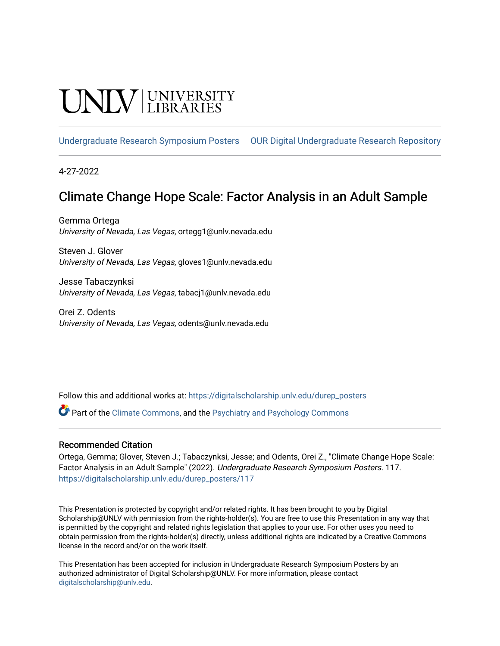## INIV UNIVERSITY

[Undergraduate Research Symposium Posters](https://digitalscholarship.unlv.edu/durep_posters) [OUR Digital Undergraduate Research Repository](https://digitalscholarship.unlv.edu/durep) 

4-27-2022

#### Climate Change Hope Scale: Factor Analysis in an Adult Sample

Gemma Ortega University of Nevada, Las Vegas, ortegg1@unlv.nevada.edu

Steven J. Glover University of Nevada, Las Vegas, gloves1@unlv.nevada.edu

Jesse Tabaczynksi University of Nevada, Las Vegas, tabacj1@unlv.nevada.edu

Orei Z. Odents University of Nevada, Las Vegas, odents@unlv.nevada.edu

Follow this and additional works at: [https://digitalscholarship.unlv.edu/durep\\_posters](https://digitalscholarship.unlv.edu/durep_posters?utm_source=digitalscholarship.unlv.edu%2Fdurep_posters%2F117&utm_medium=PDF&utm_campaign=PDFCoverPages)

Part of the [Climate Commons,](https://network.bepress.com/hgg/discipline/188?utm_source=digitalscholarship.unlv.edu%2Fdurep_posters%2F117&utm_medium=PDF&utm_campaign=PDFCoverPages) and the [Psychiatry and Psychology Commons](https://network.bepress.com/hgg/discipline/908?utm_source=digitalscholarship.unlv.edu%2Fdurep_posters%2F117&utm_medium=PDF&utm_campaign=PDFCoverPages)

#### Recommended Citation

Ortega, Gemma; Glover, Steven J.; Tabaczynksi, Jesse; and Odents, Orei Z., "Climate Change Hope Scale: Factor Analysis in an Adult Sample" (2022). Undergraduate Research Symposium Posters. 117. [https://digitalscholarship.unlv.edu/durep\\_posters/117](https://digitalscholarship.unlv.edu/durep_posters/117?utm_source=digitalscholarship.unlv.edu%2Fdurep_posters%2F117&utm_medium=PDF&utm_campaign=PDFCoverPages)

This Presentation is protected by copyright and/or related rights. It has been brought to you by Digital Scholarship@UNLV with permission from the rights-holder(s). You are free to use this Presentation in any way that is permitted by the copyright and related rights legislation that applies to your use. For other uses you need to obtain permission from the rights-holder(s) directly, unless additional rights are indicated by a Creative Commons license in the record and/or on the work itself.

This Presentation has been accepted for inclusion in Undergraduate Research Symposium Posters by an authorized administrator of Digital Scholarship@UNLV. For more information, please contact [digitalscholarship@unlv.edu](mailto:digitalscholarship@unlv.edu).